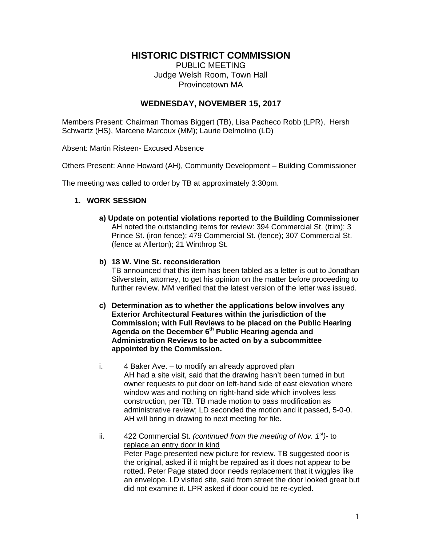# **HISTORIC DISTRICT COMMISSION**

PUBLIC MEETING Judge Welsh Room, Town Hall Provincetown MA

# **WEDNESDAY, NOVEMBER 15, 2017**

Members Present: Chairman Thomas Biggert (TB), Lisa Pacheco Robb (LPR), Hersh Schwartz (HS), Marcene Marcoux (MM); Laurie Delmolino (LD)

Absent: Martin Risteen- Excused Absence

Others Present: Anne Howard (AH), Community Development – Building Commissioner

The meeting was called to order by TB at approximately 3:30pm.

# **1. WORK SESSION**

 **a) Update on potential violations reported to the Building Commissioner**  AH noted the outstanding items for review: 394 Commercial St. (trim); 3 Prince St. (iron fence); 479 Commercial St. (fence); 307 Commercial St. (fence at Allerton); 21 Winthrop St.

# **b) 18 W. Vine St. reconsideration**

TB announced that this item has been tabled as a letter is out to Jonathan Silverstein, attorney, to get his opinion on the matter before proceeding to further review. MM verified that the latest version of the letter was issued.

- **c) Determination as to whether the applications below involves any Exterior Architectural Features within the jurisdiction of the Commission; with Full Reviews to be placed on the Public Hearing Agenda on the December 6th Public Hearing agenda and Administration Reviews to be acted on by a subcommittee appointed by the Commission.**
- **i.** 4 Baker Ave. to modify an already approved plan AH had a site visit, said that the drawing hasn't been turned in but owner requests to put door on left-hand side of east elevation where window was and nothing on right-hand side which involves less construction, per TB. TB made motion to pass modification as administrative review; LD seconded the motion and it passed, 5-0-0. AH will bring in drawing to next meeting for file.
- ii. 422 Commercial St. *(continued from the meeting of Nov. 1st)* to replace an entry door in kind Peter Page presented new picture for review. TB suggested door is the original, asked if it might be repaired as it does not appear to be rotted. Peter Page stated door needs replacement that it wiggles like an envelope. LD visited site, said from street the door looked great but did not examine it. LPR asked if door could be re-cycled.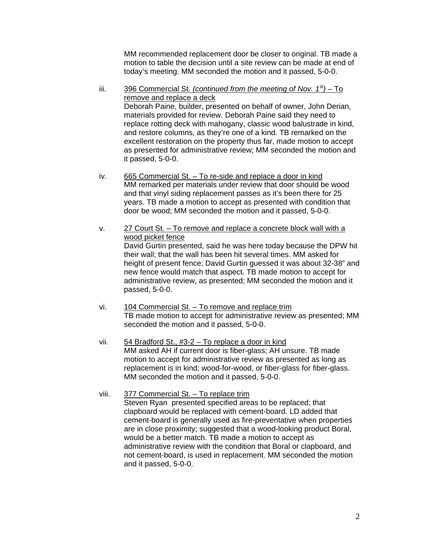MM recommended replacement door be closer to original. TB made a motion to table the decision until a site review can be made at end of today's meeting. MM seconded the motion and it passed, 5-0-0.

iii. 396 Commercial St. *(continued from the meeting of Nov. 1st)* – To remove and replace a deck Deborah Paine, builder, presented on behalf of owner, John Derian, materials provided for review. Deborah Paine said they need to replace rotting deck with mahogany, classic wood balustrade in kind, and restore columns, as they're one of a kind. TB remarked on the excellent restoration on the property thus far, made motion to accept as presented for administrative review; MM seconded the motion and it passed, 5-0-0.

- iv. 665 Commercial St. To re-side and replace a door in kind MM remarked per materials under review that door should be wood and that vinyl siding replacement passes as it's been there for 25 years. TB made a motion to accept as presented with condition that door be wood; MM seconded the motion and it passed, 5-0-0.
- v. 27 Court St. To remove and replace a concrete block wall with a wood picket fence David Gurtin presented, said he was here today because the DPW hit their wall; that the wall has been hit several times. MM asked for height of present fence; David Gurtin guessed it was about 32-38" and new fence would match that aspect. TB made motion to accept for administrative review, as presented; MM seconded the motion and it passed, 5-0-0.
- vi. 104 Commercial St. To remove and replace trim TB made motion to accept for administrative review as presented; MM seconded the motion and it passed, 5-0-0.
- vii. 54 Bradford St., #3-2 To replace a door in kind MM asked AH if current door is fiber-glass; AH unsure. TB made motion to accept for administrative review as presented as long as replacement is in kind; wood-for-wood, or fiber-glass for fiber-glass. MM seconded the motion and it passed, 5-0-0.
- viii. 377 Commercial St. To replace trim Steven Ryan presented specified areas to be replaced; that clapboard would be replaced with cement-board. LD added that cement-board is generally used as fire-preventative when properties are in close proximity; suggested that a wood-looking product Boral, would be a better match. TB made a motion to accept as administrative review with the condition that Boral or clapboard, and not cement-board, is used in replacement. MM seconded the motion and it passed, 5-0-0.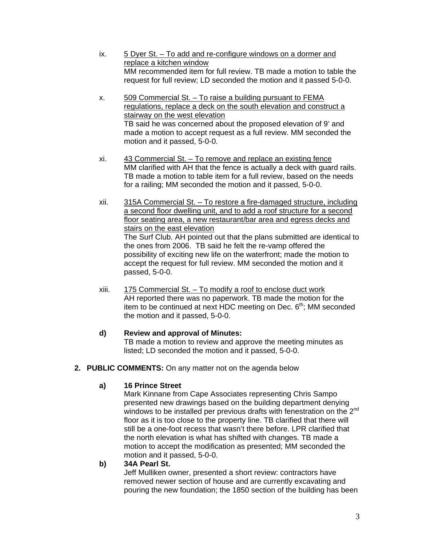- ix. 5 Dyer St. To add and re-configure windows on a dormer and replace a kitchen window MM recommended item for full review. TB made a motion to table the request for full review; LD seconded the motion and it passed 5-0-0.
- x. 509 Commercial St. To raise a building pursuant to FEMA regulations, replace a deck on the south elevation and construct a stairway on the west elevation TB said he was concerned about the proposed elevation of 9' and made a motion to accept request as a full review. MM seconded the motion and it passed, 5-0-0.
- xi. 43 Commercial St. To remove and replace an existing fence MM clarified with AH that the fence is actually a deck with guard rails. TB made a motion to table item for a full review, based on the needs for a railing; MM seconded the motion and it passed, 5-0-0.
- xii. 315A Commercial St. To restore a fire-damaged structure, including a second floor dwelling unit, and to add a roof structure for a second floor seating area, a new restaurant/bar area and egress decks and stairs on the east elevation The Surf Club. AH pointed out that the plans submitted are identical to the ones from 2006. TB said he felt the re-vamp offered the possibility of exciting new life on the waterfront; made the motion to accept the request for full review. MM seconded the motion and it passed, 5-0-0.
- xiii. 175 Commercial St. To modify a roof to enclose duct work AH reported there was no paperwork. TB made the motion for the item to be continued at next HDC meeting on Dec.  $6<sup>th</sup>$ ; MM seconded the motion and it passed, 5-0-0.

# **d) Review and approval of Minutes:**

TB made a motion to review and approve the meeting minutes as listed; LD seconded the motion and it passed, 5-0-0.

**2. PUBLIC COMMENTS:** On any matter not on the agenda below

# **a) 16 Prince Street**

Mark Kinnane from Cape Associates representing Chris Sampo presented new drawings based on the building department denying windows to be installed per previous drafts with fenestration on the 2<sup>nd</sup> floor as it is too close to the property line. TB clarified that there will still be a one-foot recess that wasn't there before. LPR clarified that the north elevation is what has shifted with changes. TB made a motion to accept the modification as presented; MM seconded the motion and it passed, 5-0-0.

# **b) 34A Pearl St.**

Jeff Mulliken owner, presented a short review: contractors have removed newer section of house and are currently excavating and pouring the new foundation; the 1850 section of the building has been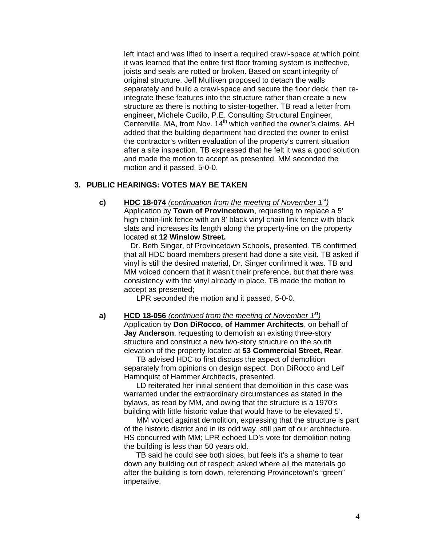left intact and was lifted to insert a required crawl-space at which point it was learned that the entire first floor framing system is ineffective, joists and seals are rotted or broken. Based on scant integrity of original structure, Jeff Mulliken proposed to detach the walls separately and build a crawl-space and secure the floor deck, then reintegrate these features into the structure rather than create a new structure as there is nothing to sister-together. TB read a letter from engineer, Michele Cudilo, P.E. Consulting Structural Engineer, Centerville, MA, from Nov. 14<sup>th</sup> which verified the owner's claims. AH added that the building department had directed the owner to enlist the contractor's written evaluation of the property's current situation after a site inspection. TB expressed that he felt it was a good solution and made the motion to accept as presented. MM seconded the motion and it passed, 5-0-0.

### **3. PUBLIC HEARINGS: VOTES MAY BE TAKEN**

**c) HDC 18-074** *(continuation from the meeting of November 1st)*  Application by **Town of Provincetown**, requesting to replace a 5' high chain-link fence with an 8' black vinyl chain link fence with black slats and increases its length along the property-line on the property located at **12 Winslow Street.** 

 Dr. Beth Singer, of Provincetown Schools, presented. TB confirmed that all HDC board members present had done a site visit. TB asked if vinyl is still the desired material, Dr. Singer confirmed it was. TB and MM voiced concern that it wasn't their preference, but that there was consistency with the vinyl already in place. TB made the motion to accept as presented;

LPR seconded the motion and it passed, 5-0-0.

 **a) HCD 18-056** *(continued from the meeting of November 1st)*  Application by **Don DiRocco, of Hammer Architects**, on behalf of **Jay Anderson**, requesting to demolish an existing three-story structure and construct a new two-story structure on the south elevation of the property located at **53 Commercial Street, Rear**.

> TB advised HDC to first discuss the aspect of demolition separately from opinions on design aspect. Don DiRocco and Leif Hamnquist of Hammer Architects, presented.

LD reiterated her initial sentient that demolition in this case was warranted under the extraordinary circumstances as stated in the bylaws, as read by MM, and owing that the structure is a 1970's building with little historic value that would have to be elevated 5'.

MM voiced against demolition, expressing that the structure is part of the historic district and in its odd way, still part of our architecture. HS concurred with MM; LPR echoed LD's vote for demolition noting the building is less than 50 years old.

TB said he could see both sides, but feels it's a shame to tear down any building out of respect; asked where all the materials go after the building is torn down, referencing Provincetown's "green" imperative.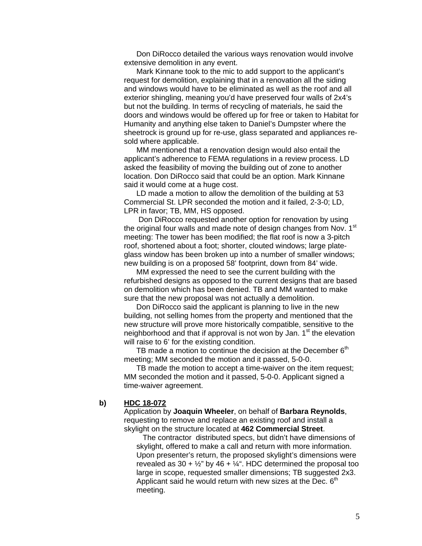Don DiRocco detailed the various ways renovation would involve extensive demolition in any event.

Mark Kinnane took to the mic to add support to the applicant's request for demolition, explaining that in a renovation all the siding and windows would have to be eliminated as well as the roof and all exterior shingling, meaning you'd have preserved four walls of 2x4's but not the building. In terms of recycling of materials, he said the doors and windows would be offered up for free or taken to Habitat for Humanity and anything else taken to Daniel's Dumpster where the sheetrock is ground up for re-use, glass separated and appliances resold where applicable.

MM mentioned that a renovation design would also entail the applicant's adherence to FEMA regulations in a review process. LD asked the feasibility of moving the building out of zone to another location. Don DiRocco said that could be an option. Mark Kinnane said it would come at a huge cost.

LD made a motion to allow the demolition of the building at 53 Commercial St. LPR seconded the motion and it failed, 2-3-0; LD, LPR in favor; TB, MM, HS opposed.

 Don DiRocco requested another option for renovation by using the original four walls and made note of design changes from Nov. 1<sup>st</sup> meeting: The tower has been modified; the flat roof is now a 3-pitch roof, shortened about a foot; shorter, clouted windows; large plateglass window has been broken up into a number of smaller windows; new building is on a proposed 58' footprint, down from 84' wide.

MM expressed the need to see the current building with the refurbished designs as opposed to the current designs that are based on demolition which has been denied. TB and MM wanted to make sure that the new proposal was not actually a demolition.

Don DiRocco said the applicant is planning to live in the new building, not selling homes from the property and mentioned that the new structure will prove more historically compatible, sensitive to the neighborhood and that if approval is not won by Jan.  $1<sup>st</sup>$  the elevation will raise to 6' for the existing condition.

TB made a motion to continue the decision at the December  $6<sup>th</sup>$ meeting; MM seconded the motion and it passed, 5-0-0.

TB made the motion to accept a time-waiver on the item request; MM seconded the motion and it passed, 5-0-0. Applicant signed a time-waiver agreement.

#### **b) HDC 18-072**

Application by **Joaquin Wheeler**, on behalf of **Barbara Reynolds**, requesting to remove and replace an existing roof and install a skylight on the structure located at **462 Commercial Street**.

The contractor distributed specs, but didn't have dimensions of skylight, offered to make a call and return with more information. Upon presenter's return, the proposed skylight's dimensions were revealed as 30 +  $\frac{1}{2}$ " by 46 +  $\frac{1}{4}$ ". HDC determined the proposal too large in scope, requested smaller dimensions; TB suggested 2x3. Applicant said he would return with new sizes at the Dec.  $6<sup>th</sup>$ meeting.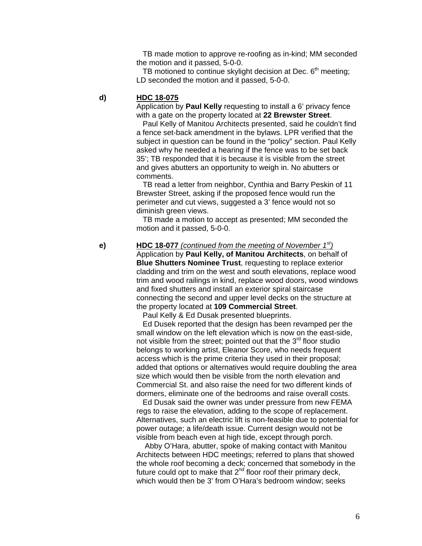TB made motion to approve re-roofing as in-kind; MM seconded the motion and it passed, 5-0-0.

TB motioned to continue skylight decision at Dec.  $6<sup>th</sup>$  meeting; LD seconded the motion and it passed, 5-0-0.

## **d) HDC 18-075**

Application by **Paul Kelly** requesting to install a 6' privacy fence with a gate on the property located at **22 Brewster Street**.

 Paul Kelly of Manitou Architects presented, said he couldn't find a fence set-back amendment in the bylaws. LPR verified that the subject in question can be found in the "policy" section. Paul Kelly asked why he needed a hearing if the fence was to be set back 35'; TB responded that it is because it is visible from the street and gives abutters an opportunity to weigh in. No abutters or comments.

 TB read a letter from neighbor, Cynthia and Barry Peskin of 11 Brewster Street, asking if the proposed fence would run the perimeter and cut views, suggested a 3' fence would not so diminish green views.

 TB made a motion to accept as presented; MM seconded the motion and it passed, 5-0-0.

 **e) HDC 18-077** *(continued from the meeting of November 1st)* 

Application by **Paul Kelly, of Manitou Architects**, on behalf of **Blue Shutters Nominee Trust**, requesting to replace exterior cladding and trim on the west and south elevations, replace wood trim and wood railings in kind, replace wood doors, wood windows and fixed shutters and install an exterior spiral staircase connecting the second and upper level decks on the structure at the property located at **109 Commercial Street**.

Paul Kelly & Ed Dusak presented blueprints.

 Ed Dusek reported that the design has been revamped per the small window on the left elevation which is now on the east-side, not visible from the street; pointed out that the  $3<sup>rd</sup>$  floor studio belongs to working artist, Eleanor Score, who needs frequent access which is the prime criteria they used in their proposal; added that options or alternatives would require doubling the area size which would then be visible from the north elevation and Commercial St. and also raise the need for two different kinds of dormers, eliminate one of the bedrooms and raise overall costs.

 Ed Dusak said the owner was under pressure from new FEMA regs to raise the elevation, adding to the scope of replacement. Alternatives, such an electric lift is non-feasible due to potential for power outage; a life/death issue. Current design would not be visible from beach even at high tide, except through porch.

 Abby O'Hara, abutter, spoke of making contact with Manitou Architects between HDC meetings; referred to plans that showed the whole roof becoming a deck; concerned that somebody in the future could opt to make that  $2<sup>nd</sup>$  floor roof their primary deck, which would then be 3' from O'Hara's bedroom window; seeks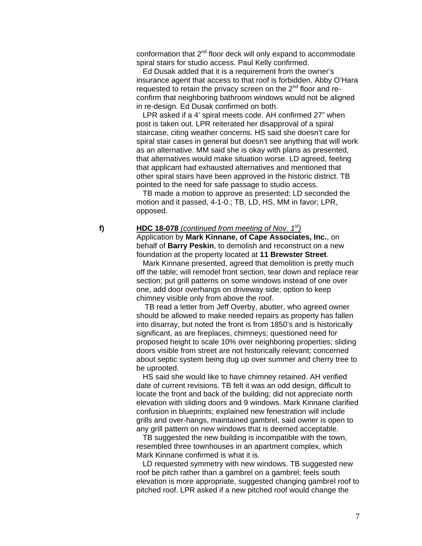conformation that 2<sup>nd</sup> floor deck will only expand to accommodate spiral stairs for studio access. Paul Kelly confirmed.

 Ed Dusak added that it is a requirement from the owner's insurance agent that access to that roof is forbidden. Abby O'Hara requested to retain the privacy screen on the 2<sup>nd</sup> floor and reconfirm that neighboring bathroom windows would not be aligned in re-design. Ed Dusak confirmed on both.

 LPR asked if a 4' spiral meets code. AH confirmed 27" when post is taken out. LPR reiterated her disapproval of a spiral staircase, citing weather concerns. HS said she doesn't care for spiral stair cases in general but doesn't see anything that will work as an alternative. MM said she is okay with plans as presented, that alternatives would make situation worse. LD agreed, feeling that applicant had exhausted alternatives and mentioned that other spiral stairs have been approved in the historic district. TB pointed to the need for safe passage to studio access.

 TB made a motion to approve as presented; LD seconded the motion and it passed, 4-1-0.; TB, LD, HS, MM in favor; LPR, opposed.

#### **f) HDC 18-078** *(continued from meeting of Nov. 1st)*

Application by **Mark Kinnane, of Cape Associates, Inc.**, on behalf of **Barry Peskin**, to demolish and reconstruct on a new foundation at the property located at **11 Brewster Street**.

 Mark Kinnane presented, agreed that demolition is pretty much off the table; will remodel front section, tear down and replace rear section; put grill patterns on some windows instead of one over one, add door overhangs on driveway side; option to keep chimney visible only from above the roof.

 TB read a letter from Jeff Overby, abutter, who agreed owner should be allowed to make needed repairs as property has fallen into disarray, but noted the front is from 1850's and is historically significant, as are fireplaces, chimneys; questioned need for proposed height to scale 10% over neighboring properties; sliding doors visible from street are not historically relevant; concerned about septic system being dug up over summer and cherry tree to be uprooted.

 HS said she would like to have chimney retained. AH verified date of current revisions. TB felt it was an odd design, difficult to locate the front and back of the building; did not appreciate north elevation with sliding doors and 9 windows. Mark Kinnane clarified confusion in blueprints; explained new fenestration will include grills and over-hangs, maintained gambrel, said owner is open to any grill pattern on new windows that is deemed acceptable.

 TB suggested the new building is incompatible with the town, resembled three townhouses in an apartment complex, which Mark Kinnane confirmed is what it is.

 LD requested symmetry with new windows. TB suggested new roof be pitch rather than a gambrel on a gambrel; feels south elevation is more appropriate, suggested changing gambrel roof to pitched roof. LPR asked if a new pitched roof would change the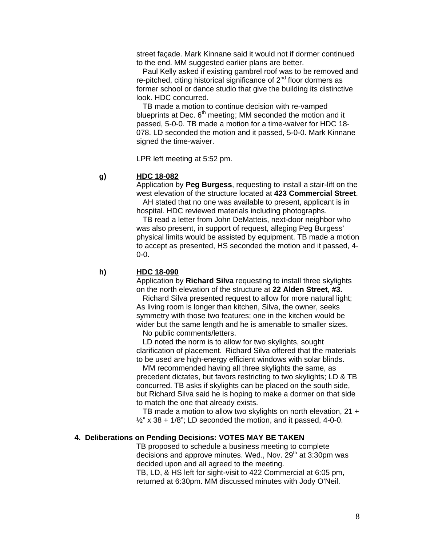street façade. Mark Kinnane said it would not if dormer continued to the end. MM suggested earlier plans are better.

 Paul Kelly asked if existing gambrel roof was to be removed and re-pitched, citing historical significance of 2<sup>nd</sup> floor dormers as former school or dance studio that give the building its distinctive look. HDC concurred.

 TB made a motion to continue decision with re-vamped blueprints at Dec.  $6<sup>th</sup>$  meeting; MM seconded the motion and it passed, 5-0-0. TB made a motion for a time-waiver for HDC 18- 078. LD seconded the motion and it passed, 5-0-0. Mark Kinnane signed the time-waiver.

LPR left meeting at 5:52 pm.

## **g) HDC 18-082**

Application by **Peg Burgess**, requesting to install a stair-lift on the west elevation of the structure located at **423 Commercial Street**.

 AH stated that no one was available to present, applicant is in hospital. HDC reviewed materials including photographs.

 TB read a letter from John DeMatteis, next-door neighbor who was also present, in support of request, alleging Peg Burgess' physical limits would be assisted by equipment. TB made a motion to accept as presented, HS seconded the motion and it passed, 4- 0-0.

 **h) HDC 18-090** 

Application by **Richard Silva** requesting to install three skylights on the north elevation of the structure at **22 Alden Street, #3.**

 Richard Silva presented request to allow for more natural light; As living room is longer than kitchen, Silva, the owner, seeks symmetry with those two features; one in the kitchen would be wider but the same length and he is amenable to smaller sizes.

No public comments/letters.

 LD noted the norm is to allow for two skylights, sought clarification of placement. Richard Silva offered that the materials to be used are high-energy efficient windows with solar blinds.

 MM recommended having all three skylights the same, as precedent dictates, but favors restricting to two skylights; LD & TB concurred. TB asks if skylights can be placed on the south side, but Richard Silva said he is hoping to make a dormer on that side to match the one that already exists.

 TB made a motion to allow two skylights on north elevation, 21 +  $\frac{1}{2}$ " x 38 + 1/8"; LD seconded the motion, and it passed, 4-0-0.

# **4. Deliberations on Pending Decisions: VOTES MAY BE TAKEN**

TB proposed to schedule a business meeting to complete decisions and approve minutes. Wed., Nov.  $29<sup>th</sup>$  at 3:30pm was decided upon and all agreed to the meeting.

TB, LD, & HS left for sight-visit to 422 Commercial at 6:05 pm, returned at 6:30pm. MM discussed minutes with Jody O'Neil.